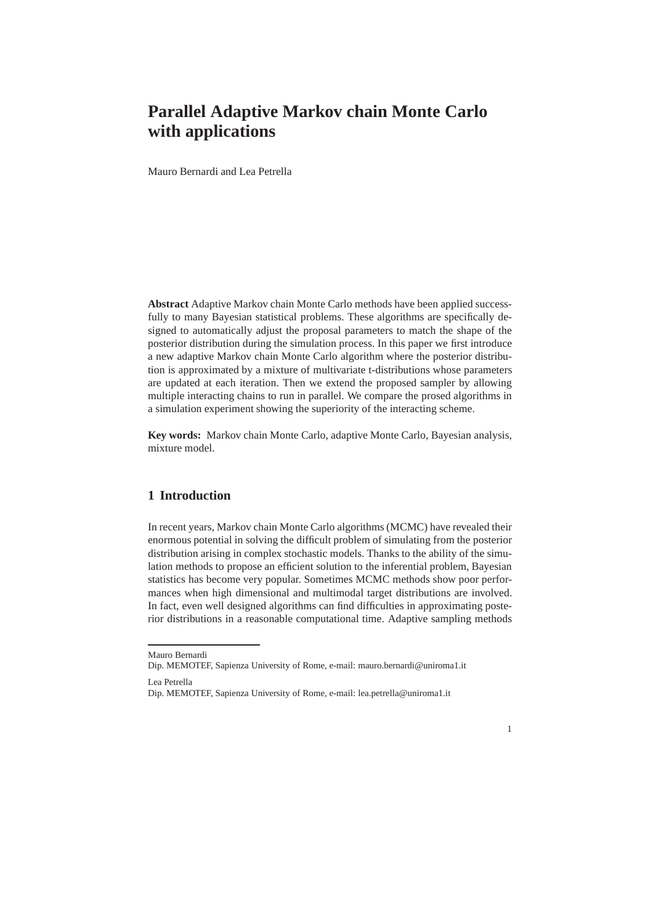# **Parallel Adaptive Markov chain Monte Carlo with applications**

Mauro Bernardi and Lea Petrella

**Abstract** Adaptive Markov chain Monte Carlo methods have been applied successfully to many Bayesian statistical problems. These algorithms are specifically designed to automatically adjust the proposal parameters to match the shape of the posterior distribution during the simulation process. In this paper we first introduce a new adaptive Markov chain Monte Carlo algorithm where the posterior distribution is approximated by a mixture of multivariate t-distributions whose parameters are updated at each iteration. Then we extend the proposed sampler by allowing multiple interacting chains to run in parallel. We compare the prosed algorithms in a simulation experiment showing the superiority of the interacting scheme.

**Key words:** Markov chain Monte Carlo, adaptive Monte Carlo, Bayesian analysis, mixture model.

### **1 Introduction**

In recent years, Markov chain Monte Carlo algorithms (MCMC) have revealed their enormous potential in solving the difficult problem of simulating from the posterior distribution arising in complex stochastic models. Thanks to the ability of the simulation methods to propose an efficient solution to the inferential problem, Bayesian statistics has become very popular. Sometimes MCMC methods show poor performances when high dimensional and multimodal target distributions are involved. In fact, even well designed algorithms can find difficulties in approximating posterior distributions in a reasonable computational time. Adaptive sampling methods



Mauro Bernardi

Dip. MEMOTEF, Sapienza University of Rome, e-mail: mauro.bernardi@uniroma1.it

Lea Petrella

Dip. MEMOTEF, Sapienza University of Rome, e-mail: lea.petrella@uniroma1.it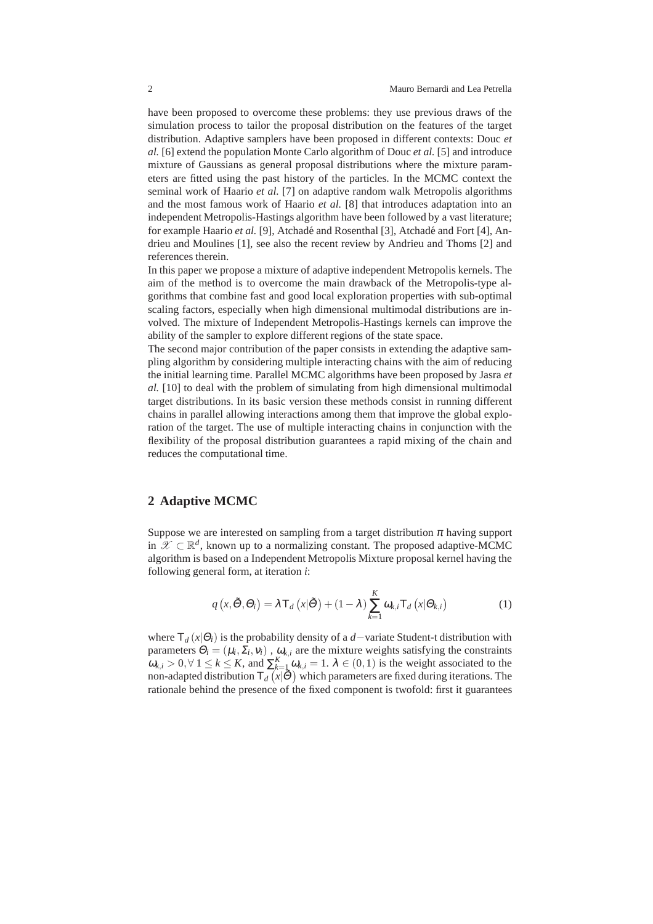have been proposed to overcome these problems: they use previous draws of the simulation process to tailor the proposal distribution on the features of the target distribution. Adaptive samplers have been proposed in different contexts: Douc *et al.* [6] extend the population Monte Carlo algorithm of Douc *et al.* [5] and introduce mixture of Gaussians as general proposal distributions where the mixture parameters are fitted using the past history of the particles. In the MCMC context the seminal work of Haario *et al.* [7] on adaptive random walk Metropolis algorithms and the most famous work of Haario *et al.* [8] that introduces adaptation into an independent Metropolis-Hastings algorithm have been followed by a vast literature; for example Haario et al. [9], Atchadé and Rosenthal [3], Atchadé and Fort [4], Andrieu and Moulines [1], see also the recent review by Andrieu and Thoms [2] and references therein.

In this paper we propose a mixture of adaptive independent Metropolis kernels. The aim of the method is to overcome the main drawback of the Metropolis-type algorithms that combine fast and good local exploration properties with sub-optimal scaling factors, especially when high dimensional multimodal distributions are involved. The mixture of Independent Metropolis-Hastings kernels can improve the ability of the sampler to explore different regions of the state space.

The second major contribution of the paper consists in extending the adaptive sampling algorithm by considering multiple interacting chains with the aim of reducing the initial learning time. Parallel MCMC algorithms have been proposed by Jasra *et al.* [10] to deal with the problem of simulating from high dimensional multimodal target distributions. In its basic version these methods consist in running different chains in parallel allowing interactions among them that improve the global exploration of the target. The use of multiple interacting chains in conjunction with the flexibility of the proposal distribution guarantees a rapid mixing of the chain and reduces the computational time.

## **2 Adaptive MCMC**

Suppose we are interested on sampling from a target distribution  $\pi$  having support in  $\mathscr{X} \subset \mathbb{R}^d$ , known up to a normalizing constant. The proposed adaptive-MCMC algorithm is based on a Independent Metropolis Mixture proposal kernel having the following general form, at iteration *i*:

$$
q\left(x,\tilde{\Theta},\Theta_{i}\right)=\lambda\mathsf{T}_{d}\left(x|\tilde{\Theta}\right)+(1-\lambda)\sum_{k=1}^{K}\omega_{k,i}\mathsf{T}_{d}\left(x|\Theta_{k,i}\right) \tag{1}
$$

where  $T_d(x|\Theta_i)$  is the probability density of a *d*−variate Student-t distribution with parameters  $\Theta_i = (\mu_i, \Sigma_i, v_i)$ ,  $\omega_{k,i}$  are the mixture weights satisfying the constraints  $\omega_{k,i} > 0, \forall 1 \le k \le K$ , and  $\sum_{k=1}^{K} \omega_{k,i} = 1$ .  $\lambda \in (0,1)$  is the weight associated to the non-adapted distribution  $T_d(x|\tilde{\Theta})$  which parameters are fixed during iterations. The rationale behind the presence of the fixed component is twofold: first it guarantees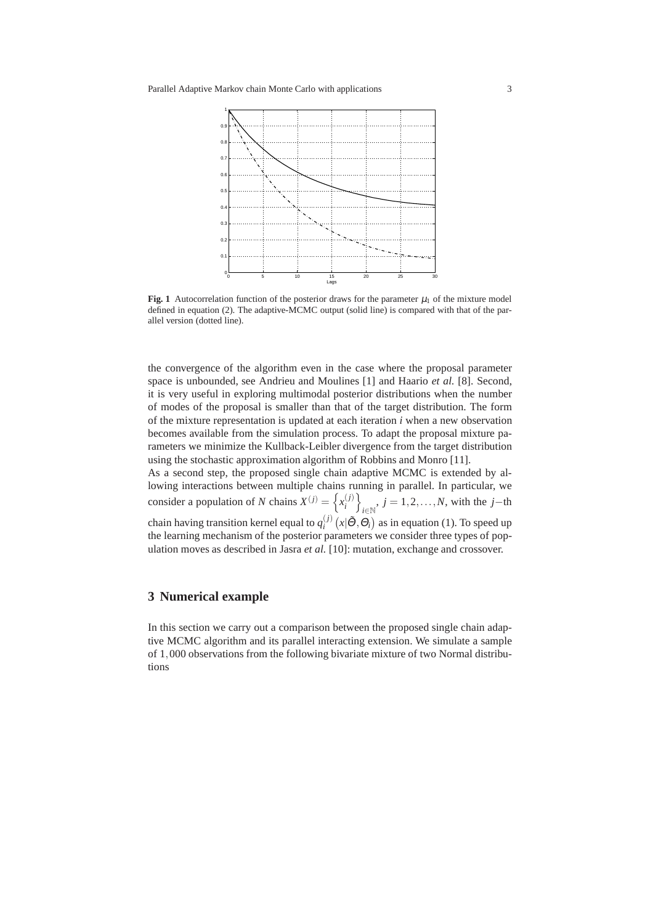

**Fig. 1** Autocorrelation function of the posterior draws for the parameter  $\mu_1$  of the mixture model defined in equation (2). The adaptive-MCMC output (solid line) is compared with that of the parallel version (dotted line).

the convergence of the algorithm even in the case where the proposal parameter space is unbounded, see Andrieu and Moulines [1] and Haario *et al.* [8]. Second, it is very useful in exploring multimodal posterior distributions when the number of modes of the proposal is smaller than that of the target distribution. The form of the mixture representation is updated at each iteration *i* when a new observation becomes available from the simulation process. To adapt the proposal mixture parameters we minimize the Kullback-Leibler divergence from the target distribution using the stochastic approximation algorithm of Robbins and Monro [11].

As a second step, the proposed single chain adaptive MCMC is extended by allowing interactions between multiple chains running in parallel. In particular, we consider a population of *N* chains  $X^{(j)} = \left\{ x_i^{(j)} \right\}$  $j = 1, 2, \ldots, N$ , with the *j*−th chain having transition kernel equal to  $q_i^{(j)}$  $\int_{i}^{(j)} (x | \tilde{\Theta}, \Theta_i)$  as in equation (1). To speed up the learning mechanism of the posterior parameters we consider three types of population moves as described in Jasra *et al.* [10]: mutation, exchange and crossover.

## **3 Numerical example**

In this section we carry out a comparison between the proposed single chain adaptive MCMC algorithm and its parallel interacting extension. We simulate a sample of 1,000 observations from the following bivariate mixture of two Normal distributions